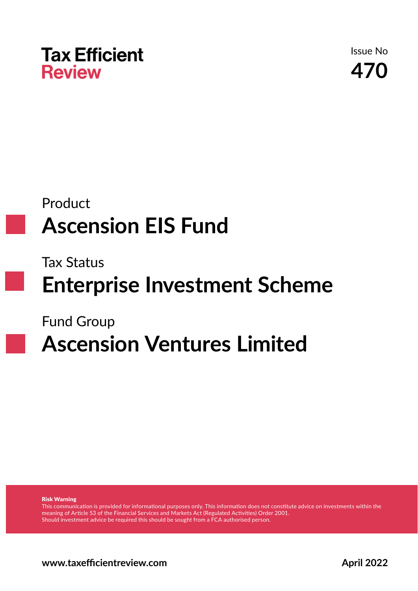

Issue No **470**

## Product **Ascension EIS Fund**

Tax Status

**Enterprise Investment Scheme**

Fund Group

# **Ascension Ventures Limited**

Risk Warning

This communication is provided for informational purposes only. This information does not constitute advice on investments within the meaning of Article 53 of the Financial Services and Markets Act (Regulated Activities) Order 2001. Should investment advice be required this should be sought from a FCA authorised person.

**www.taxefficientreview.com April 2022**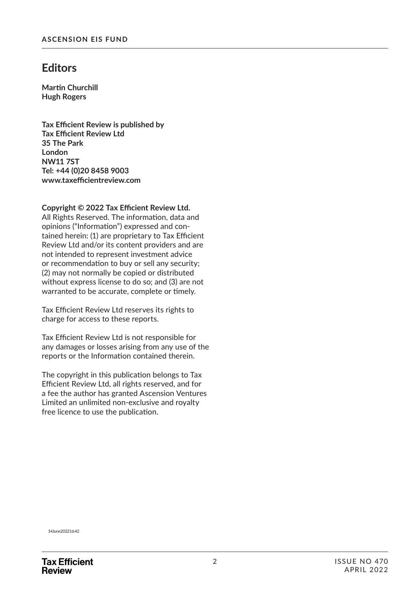### **Editors**

**Martin Churchill Hugh Rogers**

**Tax Effi cient Review is published by Tax Effi cient Review Ltd 35 The Park London NW11 7ST Tel: +44 (0)20 8458 9003 www.taxeffi cientreview.com**

Copyright © 2022 Tax Efficient Review Ltd.

All Rights Reserved. The information, data and opinions ("Information") expressed and contained herein: (1) are proprietary to Tax Efficient Review Ltd and/or its content providers and are not intended to represent investment advice or recommendation to buy or sell any security; (2) may not normally be copied or distributed without express license to do so; and (3) are not warranted to be accurate, complete or timely.

Tax Efficient Review Ltd reserves its rights to charge for access to these reports.

Tax Efficient Review Ltd is not responsible for any damages or losses arising from any use of the reports or the Information contained therein.

The copyright in this publication belongs to Tax Efficient Review Ltd, all rights reserved, and for a fee the author has granted Ascension Ventures Limited an unlimited non-exclusive and royalty free licence to use the publication.

14 June 2022 16:42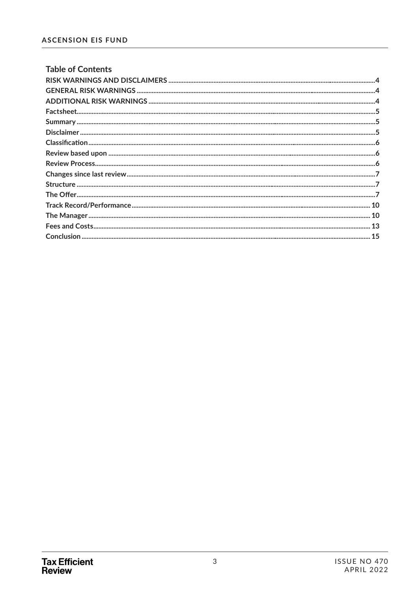| <b>Table of Contents</b> |  |
|--------------------------|--|
|                          |  |
|                          |  |
|                          |  |
|                          |  |
|                          |  |
|                          |  |
|                          |  |
|                          |  |
|                          |  |
|                          |  |
|                          |  |
|                          |  |
|                          |  |
|                          |  |
|                          |  |
|                          |  |
|                          |  |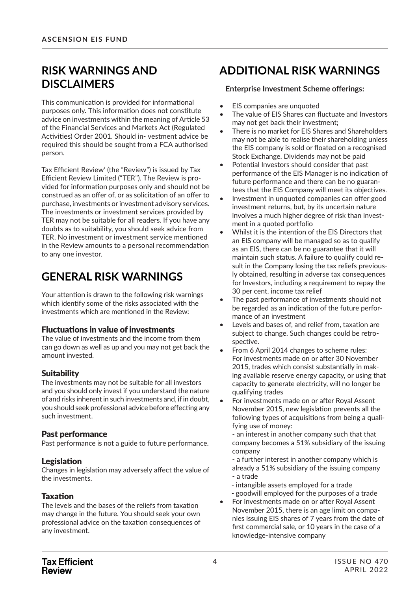### **RISK WARNINGS AND DISCLAIMERS**

This communication is provided for informational purposes only. This information does not constitute advice on investments within the meaning of Article 53 of the Financial Services and Markets Act (Regulated Activities) Order 2001. Should in- vestment advice be required this should be sought from a FCA authorised person.

Tax Efficient Review' (the "Review") is issued by Tax Efficient Review Limited ("TER"). The Review is provided for information purposes only and should not be construed as an offer of, or as solicitation of an offer to purchase, investments or investment advisory services. The investments or investment services provided by TER may not be suitable for all readers. If you have any doubts as to suitability, you should seek advice from TER. No investment or investment service mentioned in the Review amounts to a personal recommendation to any one investor.

### **GENERAL RISK WARNINGS**

Your attention is drawn to the following risk warnings which identify some of the risks associated with the investments which are mentioned in the Review:

### **Fluctuations in value of investments**

The value of investments and the income from them can go down as well as up and you may not get back the amount invested.

### **Suitability**

The investments may not be suitable for all investors and you should only invest if you understand the nature of and risks inherent in such investments and, if in doubt, you should seek professional advice before effecting any such investment.

### Past performance

Past performance is not a guide to future performance.

### Legislation

Changes in legislation may adversely affect the value of the investments.

### **Taxation**

The levels and the bases of the reliefs from taxation may change in the future. You should seek your own professional advice on the taxation consequences of any investment.

### **ADDITIONAL RISK WARNINGS**

#### **Enterprise Investment Scheme offerings:**

- EIS companies are unquoted
- The value of EIS Shares can fluctuate and Investors may not get back their investment;
- There is no market for EIS Shares and Shareholders may not be able to realise their shareholding unless the EIS company is sold or floated on a recognised Stock Exchange. Dividends may not be paid
- Potential Investors should consider that past performance of the EIS Manager is no indication of future performance and there can be no guarantees that the EIS Company will meet its objectives.
- Investment in unquoted companies can offer good investment returns, but, by its uncertain nature involves a much higher degree of risk than investment in a quoted portfolio
- Whilst it is the intention of the EIS Directors that an EIS company will be managed so as to qualify as an EIS, there can be no guarantee that it will maintain such status. A failure to qualify could result in the Company losing the tax reliefs previously obtained, resulting in adverse tax consequences for Investors, including a requirement to repay the 30 per cent. income tax relief
- The past performance of investments should not be regarded as an indication of the future performance of an investment
- Levels and bases of, and relief from, taxation are subject to change. Such changes could be retrospective.
- From 6 April 2014 changes to scheme rules: For investments made on or after 30 November 2015, trades which consist substantially in making available reserve energy capacity, or using that capacity to generate electricity, will no longer be qualifying trades
- For investments made on or after Royal Assent November 2015, new legislation prevents all the following types of acquisitions from being a qualifying use of money:

- an interest in another company such that that company becomes a 51% subsidiary of the issuing company

- a further interest in another company which is already a 51% subsidiary of the issuing company - a trade

- intangible assets employed for a trade - goodwill employed for the purposes of a trade
- For investments made on or after Royal Assent November 2015, there is an age limit on companies issuing EIS shares of 7 years from the date of first commercial sale, or 10 years in the case of a knowledge-intensive company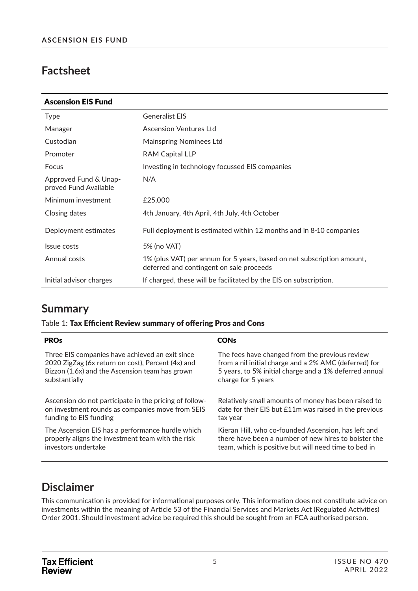### **Factsheet**

| <b>Ascension EIS Fund</b>                      |                                                                                                                    |
|------------------------------------------------|--------------------------------------------------------------------------------------------------------------------|
| <b>Type</b>                                    | <b>Generalist EIS</b>                                                                                              |
| Manager                                        | <b>Ascension Ventures Ltd</b>                                                                                      |
| Custodian                                      | <b>Mainspring Nominees Ltd</b>                                                                                     |
| Promoter                                       | <b>RAM Capital LLP</b>                                                                                             |
| Focus                                          | Investing in technology focussed EIS companies                                                                     |
| Approved Fund & Unap-<br>proved Fund Available | N/A                                                                                                                |
| Minimum investment                             | £25,000                                                                                                            |
| Closing dates                                  | 4th January, 4th April, 4th July, 4th October                                                                      |
| Deployment estimates                           | Full deployment is estimated within 12 months and in 8-10 companies                                                |
| Issue costs                                    | 5% (no VAT)                                                                                                        |
| Annual costs                                   | 1% (plus VAT) per annum for 5 years, based on net subscription amount,<br>deferred and contingent on sale proceeds |
| Initial advisor charges                        | If charged, these will be facilitated by the EIS on subscription.                                                  |

### **Summary**

#### Table 1: Tax Efficient Review summary of offering Pros and Cons

| <b>PRO<sub>s</sub></b>                                 | <b>CONs</b>                                            |
|--------------------------------------------------------|--------------------------------------------------------|
| Three EIS companies have achieved an exit since        | The fees have changed from the previous review         |
| 2020 ZigZag (6x return on cost), Percent (4x) and      | from a nil initial charge and a 2% AMC (deferred) for  |
| Bizzon (1.6x) and the Ascension team has grown         | 5 years, to 5% initial charge and a 1% deferred annual |
| substantially                                          | charge for 5 years                                     |
| Ascension do not participate in the pricing of follow- | Relatively small amounts of money has been raised to   |
| on investment rounds as companies move from SEIS       | date for their EIS but £11m was raised in the previous |
| funding to EIS funding                                 | tax year                                               |
| The Ascension EIS has a performance hurdle which       | Kieran Hill, who co-founded Ascension, has left and    |
| properly aligns the investment team with the risk      | there have been a number of new hires to bolster the   |
| investors undertake                                    | team, which is positive but will need time to bed in   |

### **Disclaimer**

This communication is provided for informational purposes only. This information does not constitute advice on investments within the meaning of Article 53 of the Financial Services and Markets Act (Regulated Activities) Order 2001. Should investment advice be required this should be sought from an FCA authorised person.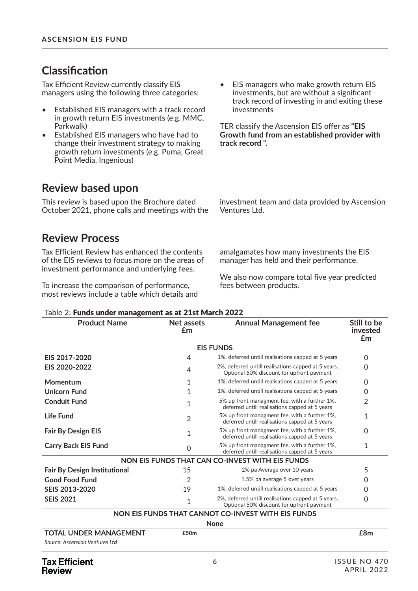### $Cl$ assification

Tax Efficient Review currently classify EIS managers using the following three categories:

- Established EIS managers with a track record in growth return EIS investments (e.g. MMC, Parkwalk)
- Established EIS managers who have had to change their investment strategy to making growth return investments (e.g. Puma, Great Point Media, Ingenious)

### **Review based upon**

This review is based upon the Brochure dated October 2021, phone calls and meetings with the

### **Review Process**

Tax Efficient Review has enhanced the contents of the EIS reviews to focus more on the areas of investment performance and underlying fees.

To increase the comparison of performance, most reviews include a table which details and • EIS managers who make growth return EIS investments, but are without a significant track record of investing in and exiting these investments

TER classify the Ascension EIS offer as "EIS **Growth fund from an established provider with track record ".**

investment team and data provided by Ascension Ventures Ltd.

amalgamates how many investments the EIS manager has held and their performance.

We also now compare total five year predicted fees between products.

| <b>Product Name</b>                 | Net assets<br>£m | <b>Annual Management fee</b>                                                                     | Still to be<br>invested<br>£m |
|-------------------------------------|------------------|--------------------------------------------------------------------------------------------------|-------------------------------|
|                                     |                  | <b>EIS FUNDS</b>                                                                                 |                               |
| EIS 2017-2020                       | 4                | 1%, deferred untill realisations capped at 5 years                                               | 0                             |
| EIS 2020-2022                       | 4                | 2%, deferred untill realisations capped at 5 years.<br>Optional 50% discount for upfront payment | $\Omega$                      |
| Momentum                            | 1                | 1%, deferred untill realisations capped at 5 years                                               | 0                             |
| <b>Unicorn Fund</b>                 | 1                | 1%, deferred untill realisations capped at 5 years                                               | 0                             |
| <b>Conduit Fund</b>                 | 1                | 5% up front managment fee, with a further 1%,<br>deferred untill realisations capped at 5 years  | 2                             |
| Life Fund                           | $\overline{2}$   | 5% up front managment fee, with a further 1%,<br>deferred untill realisations capped at 5 years  | 1                             |
| <b>Fair By Design EIS</b>           | 1                | 5% up front managment fee, with a further 1%,<br>deferred untill realisations capped at 5 years  | $\Omega$                      |
| <b>Carry Back EIS Fund</b>          | $\Omega$         | 5% up front managment fee, with a further 1%,<br>deferred untill realisations capped at 5 years  | 1                             |
|                                     |                  | NON EIS FUNDS THAT CAN CO-INVEST WITH EIS FUNDS                                                  |                               |
| <b>Fair By Design Institutional</b> | 15               | 2% pa Average over 10 years                                                                      | 5                             |
| <b>Good Food Fund</b>               | $\overline{2}$   | 1.5% pa average 5 over years                                                                     | 0                             |
| SEIS 2013-2020                      | 19               | 1%, deferred untill realisations capped at 5 years                                               | 0                             |
| <b>SEIS 2021</b>                    | $\mathbf{1}$     | 2%, deferred untill realisations capped at 5 years.<br>Optional 50% discount for upfront payment | $\Omega$                      |
|                                     |                  | NON EIS FUNDS THAT CANNOT CO-INVEST WITH EIS FUNDS                                               |                               |
|                                     |                  | <b>None</b>                                                                                      |                               |
| <b>TOTAL UNDER MANAGEMENT</b>       | £50m             |                                                                                                  | £8m                           |
| Source: Ascension Ventures Ltd      |                  |                                                                                                  |                               |

#### Table 2: Funds under management as at 21st March 2022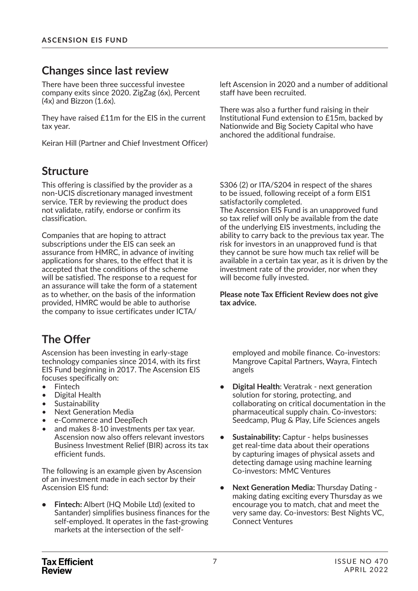### **Changes since last review**

There have been three successful investee company exits since 2020. ZigZag (6x), Percent  $(4x)$  and Bizzon  $(1.6x)$ .

They have raised £11m for the EIS in the current tax year.

Keiran Hill (Partner and Chief Investment Officer)

### **Structure**

This offering is classified by the provider as a non-UCIS discretionary managed investment service. TER by reviewing the product does not validate, ratify, endorse or confirm its classification.

Companies that are hoping to attract subscriptions under the EIS can seek an assurance from HMRC, in advance of inviting applications for shares, to the effect that it is accepted that the conditions of the scheme will be satisfied. The response to a request for an assurance will take the form of a statement as to whether, on the basis of the information provided, HMRC would be able to authorise the company to issue certificates under ICTA/

### **The Offer**

Ascension has been investing in early-stage technology companies since 2014, with its first EIS Fund beginning in 2017. The Ascension EIS focuses specifically on:

- Fintech
- Digital Health
- **Sustainability**
- Next Generation Media
- e-Commerce and DeepTech
- and makes 8-10 investments per tax year. Ascension now also offers relevant investors Business Investment Relief (BIR) across its tax efficient funds.

The following is an example given by Ascension of an investment made in each sector by their Ascension EIS fund:

**• Fintech:** Albert (HQ Mobile Ltd) (exited to Santander) simplifies business finances for the self-employed. It operates in the fast-growing markets at the intersection of the selfleft Ascension in 2020 and a number of additional staff have been recruited.

There was also a further fund raising in their Institutional Fund extension to £15m, backed by Nationwide and Big Society Capital who have anchored the additional fundraise.

S306 (2) or ITA/S204 in respect of the shares to be issued, following receipt of a form EIS1 satisfactorily completed.

The Ascension EIS Fund is an unapproved fund so tax relief will only be available from the date of the underlying EIS investments, including the ability to carry back to the previous tax year. The risk for investors in an unapproved fund is that they cannot be sure how much tax relief will be available in a certain tax year, as it is driven by the investment rate of the provider, nor when they will become fully invested.

#### **Please note Tax Efficient Review does not give tax advice.**

employed and mobile finance. Co-investors: Mangrove Capital Partners, Wayra, Fintech angels

- **Digital Health**: Veratrak next generation solution for storing, protecting, and collaborating on critical documentation in the pharmaceutical supply chain. Co-investors: Seedcamp, Plug & Play, Life Sciences angels
- **Sustainability:** Captur helps businesses get real-time data about their operations by capturing images of physical assets and detecting damage using machine learning Co-investors: MMC Ventures
- **Next Generation Media:** Thursday Dating making dating exciting every Thursday as we encourage you to match, chat and meet the very same day. Co-investors: Best Nights VC, Connect Ventures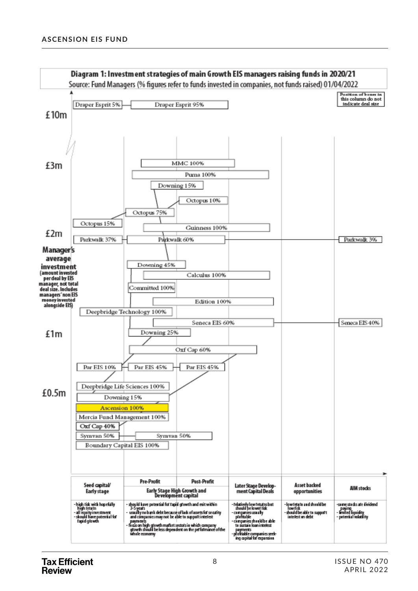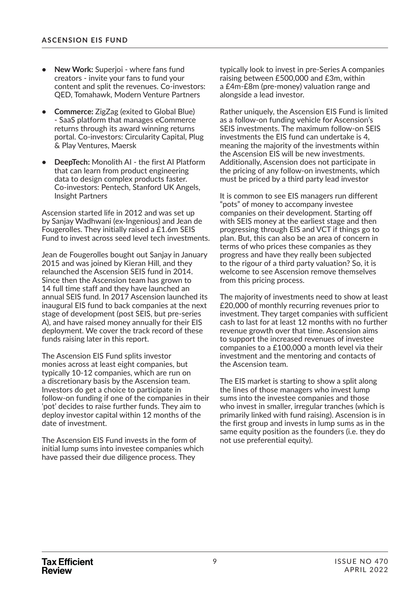- **New Work:** Superjoi where fans fund creators - invite your fans to fund your content and split the revenues. Co-investors: QED, Tomahawk, Modern Venture Partners
- **Commerce:** ZigZag (exited to Global Blue) - SaaS platform that manages eCommerce returns through its award winning returns portal. Co-investors: Circularity Capital, Plug & Play Ventures, Maersk
- **DeepTech:** Monolith AI the first AI Platform that can learn from product engineering data to design complex products faster. Co-investors: Pentech, Stanford UK Angels, Insight Partners

Ascension started life in 2012 and was set up by Sanjay Wadhwani (ex-Ingenious) and Jean de Fougerolles. They initially raised a £1.6m SEIS Fund to invest across seed level tech investments.

Jean de Fougerolles bought out Sanjay in January 2015 and was joined by Kieran Hill, and they relaunched the Ascension SEIS fund in 2014. Since then the Ascension team has grown to 14 full time staff and they have launched an annual SEIS fund. In 2017 Ascension launched its inaugural EIS fund to back companies at the next stage of development (post SEIS, but pre-series A), and have raised money annually for their EIS deployment. We cover the track record of these funds raising later in this report.

The Ascension EIS Fund splits investor monies across at least eight companies, but typically 10-12 companies, which are run on a discretionary basis by the Ascension team. Investors do get a choice to participate in follow-on funding if one of the companies in their 'pot' decides to raise further funds. They aim to deploy investor capital within 12 months of the date of investment.

The Ascension EIS Fund invests in the form of initial lump sums into investee companies which have passed their due diligence process. They

typically look to invest in pre-Series A companies raising between £500,000 and £3m, within a £4m-£8m (pre-money) valuation range and alongside a lead investor.

Rather uniquely, the Ascension EIS Fund is limited as a follow-on funding vehicle for Ascension's SEIS investments. The maximum follow-on SEIS investments the EIS fund can undertake is 4, meaning the majority of the investments within the Ascension EIS will be new investments. Additionally, Ascension does not participate in the pricing of any follow-on investments, which must be priced by a third party lead investor

It is common to see EIS managers run different "pots" of money to accompany investee companies on their development. Starting off with SEIS money at the earliest stage and then progressing through EIS and VCT if things go to plan. But, this can also be an area of concern in terms of who prices these companies as they progress and have they really been subjected to the rigour of a third party valuation? So, it is welcome to see Ascension remove themselves from this pricing process.

The majority of investments need to show at least £20,000 of monthly recurring revenues prior to investment. They target companies with sufficient cash to last for at least 12 months with no further revenue growth over that time. Ascension aims to support the increased revenues of investee companies to a £100,000 a month level via their investment and the mentoring and contacts of the Ascension team.

The EIS market is starting to show a split along the lines of those managers who invest lump sums into the investee companies and those who invest in smaller, irregular tranches (which is primarily linked with fund raising). Ascension is in the first group and invests in lump sums as in the same equity position as the founders (i.e. they do not use preferential equity).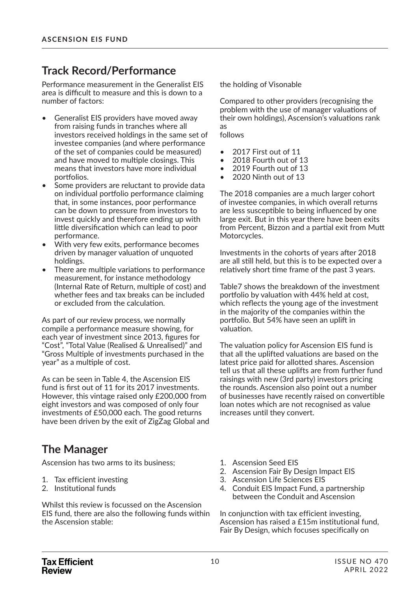### **Track Record/Performance**

Performance measurement in the Generalist EIS area is difficult to measure and this is down to a number of factors:

- Generalist EIS providers have moved away from raising funds in tranches where all investors received holdings in the same set of investee companies (and where performance of the set of companies could be measured) and have moved to multiple closings. This means that investors have more individual portfolios.
- Some providers are reluctant to provide data on individual portfolio performance claiming that, in some instances, poor performance can be down to pressure from investors to invest quickly and therefore ending up with little diversification which can lead to poor performance.
- With very few exits, performance becomes driven by manager valuation of unquoted holdings.
- There are multiple variations to performance measurement, for instance methodology (Internal Rate of Return, multiple of cost) and whether fees and tax breaks can be included or excluded from the calculation.

As part of our review process, we normally compile a performance measure showing, for each year of investment since 2013, figures for "Cost", "Total Value (Realised & Unrealised)" and "Gross Multiple of investments purchased in the year" as a multiple of cost.

As can be seen in Table 4, the Ascension EIS fund is first out of 11 for its 2017 investments. However, this vintage raised only £200,000 from eight investors and was composed of only four investments of £50,000 each. The good returns have been driven by the exit of ZigZag Global and

### **The Manager**

Ascension has two arms to its business;

- 1. Tax efficient investing
- 2. Institutional funds

Whilst this review is focussed on the Ascension EIS fund, there are also the following funds within the Ascension stable:

the holding of Visonable

Compared to other providers (recognising the problem with the use of manager valuations of their own holdings), Ascension's valuations rank as

follows

- 2017 First out of 11
- 2018 Fourth out of 13
- 2019 Fourth out of 13
- 2020 Ninth out of 13

The 2018 companies are a much larger cohort of investee companies, in which overall returns are less susceptible to being influenced by one large exit. But in this year there have been exits from Percent, Bizzon and a partial exit from Mutt Motorcycles.

Investments in the cohorts of years after 2018 are all still held, but this is to be expected over a relatively short time frame of the past 3 years.

Table7 shows the breakdown of the investment portfolio by valuation with 44% held at cost, which reflects the young age of the investment in the majority of the companies within the portfolio. But 54% have seen an uplift in valuation.

The valuation policy for Ascension EIS fund is that all the uplifted valuations are based on the latest price paid for allotted shares. Ascension tell us that all these uplifts are from further fund raisings with new (3rd party) investors pricing the rounds. Ascension also point out a number of businesses have recently raised on convertible loan notes which are not recognised as value increases until they convert.

- 1. Ascension Seed EIS
- 2. Ascension Fair By Design Impact EIS
- 3. Ascension Life Sciences EIS
- 4. Conduit EIS Impact Fund, a partnership between the Conduit and Ascension

In conjunction with tax efficient investing, Ascension has raised a £15m institutional fund, Fair By Design, which focuses specifically on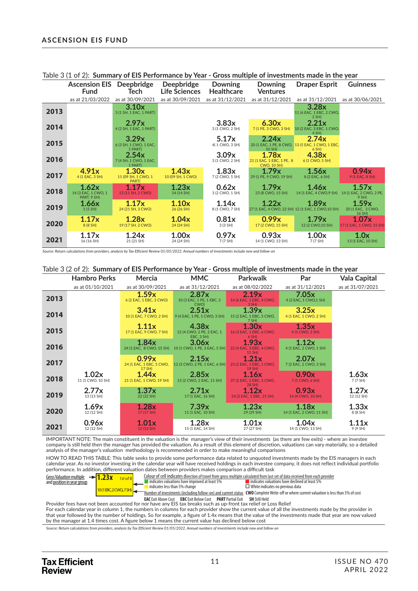|      | <b>Ascension EIS</b><br><b>Fund</b>         | <b>Deepbridge</b><br>Tech                  | <b>Deepbridge</b><br>Life Sciences | <b>Downing</b><br><b>Healthcare</b> | <b>Downing</b><br><b>Ventures</b>                        | <b>Draper Esprit</b>                                                    | <b>Guinness</b>                           |
|------|---------------------------------------------|--------------------------------------------|------------------------------------|-------------------------------------|----------------------------------------------------------|-------------------------------------------------------------------------|-------------------------------------------|
|      | as at 21/03/2022                            | as at 30/09/2021                           | as at 30/09/2021                   | as at 31/12/2021                    | as at 31/12/2021                                         | as at 31/12/2021                                                        | as at 30/06/2021                          |
| 2013 |                                             | 3.10x<br>3 (1 SH, 1 EAC, 1 PART)           |                                    |                                     |                                                          | 3.28x<br>11 (6 EAC, 1 EBC, 2 CWO,<br>2 SH                               |                                           |
| 2014 |                                             | 2.97x<br>4 (2 SH, 1 EAC, 1 PART)           |                                    | 3.83x<br>3 (1 CWO, 2 SH)            | 6.30x<br>7 (1 PE, 3 CWO, 3 SH)                           | 2.21x<br>10 (2 EAC, 3 EBC, 1 CWO,<br>4 SH)                              |                                           |
| 2015 |                                             | 3.29x<br>6 (3 SH, 1 CWO, 1 EAC,<br>1 PART) |                                    | 5.17x<br>4(1 CWO, 3 SH)             | 2.24x<br>10 SH)                                          | 2.74x<br>20 (1 EAC, 1 PE, 8 CWO, 13 (5 EAC, 1 CWO, 1 EBC,<br>$6$ SH $)$ |                                           |
| 2016 |                                             | 2.54x<br>7 (4 SH, 1 CWO, 1 EAC,<br>1 PART) |                                    | 3.09x<br>3 (1 CWO, 2 SH)            | 1.78x<br>21 (1 EAC, 1 EBC, 1 PE, 8<br><b>CWO, 10 SH)</b> | 4.38x<br>6 (1 CWO, 5 SH)                                                |                                           |
| 2017 | 4.91x<br>4 (1 EAC, 3 SH)                    | 1.30x<br>11 (09 SH, 1 CWO, 1<br>PART)      | 1.43x<br>10 (09 SH, 1 CWO)         | 1.83x<br>7 (2 CWO, 5 SH)            | 1.79x<br>29 (1 PE, 9 CWO, 19 SH)                         | 1.56x<br>8 (2 EAC, 6 SH)                                                | 0.94x<br>9 (1 EAC, 8 SH)                  |
| 2018 | 1.62x<br>14 (3 EAC, 1 CWO, 1<br>PART, 9 SH) | 1.17x<br>13 (11 SH, 2 CWO)                 | 1.23x<br>14 (14 SH)                | 0.62x<br>3 (2 CWO, 1 SH)            | 1.79x<br>23 (8 CWO, 15 SH)                               | 1.46x<br>14 (1 EAC, 4 CWO, 9 SH)                                        | 1.57x<br>14 (1 EAC, 2 CWO, 2 PE,<br>9 SH) |
| 2019 | 1.66x<br>5(5 SH)                            | 1.17x<br>24 (21 SH, 3 CWO)                 | 1.10x<br>26 (26 SH)                | 1.14x<br>8 (1 CWO, 7 SH)            | 1.22x                                                    | 1.89x<br>27 (1 EAC, 4 CWO, 22 SH) 12 (1 EAC, 1 CWO, 10 SH)              | 1.59x<br>20 (1 EAC, 3 CWO,<br>16 SH)      |
| 2020 | 1.17x<br>8 (8 SH)                           | 1.28x<br>19 (17 SH, 2 CWO)                 | 1.04x<br>24 (24 SH)                | 0.81x<br>3(3 SH)                    | 0.99x<br>17 (2 CWO, 15 SH)                               | 1.79x<br>12 (2 CWO, 10 SH)                                              | 1.07x<br>17 (1 EAC, 1 CWO, 15 SH)         |
| 2021 | 1.17x<br>16 (16 SH)                         | 1.24x<br>21 (21 SH)                        | 1.00x<br>24 (24 SH)                | 0.97x<br>7 (7 SH)                   | 0.93x<br>14 (1 CWO, 13 SH)                               | 1.00x<br>7 (7 SH)                                                       | 1.0x<br>13 (1 EAC, 10 SH)                 |

Table 3 (1 of 2): **Summary of EIS Performance by Year - Gross multiple of investments made in the year**

#### Table 3 (2 of 2): **Summary of EIS Performance by Year - Gross multiple of investments made in the year**

|      | <b>Hambro Perks</b>        | Mercia                                      | <b>MMC</b>                                       | Parkwalk                                        | Par                               | <b>Vala Capital</b> |
|------|----------------------------|---------------------------------------------|--------------------------------------------------|-------------------------------------------------|-----------------------------------|---------------------|
|      | as at 01/10/2021           | as at 30/09/2021                            | as at 31/12/2021                                 | as at 08/02/2022                                | as at 31/12/2021                  | as at 31/07/2021    |
| 2013 |                            | 1.59x<br>6 (2 EAC, 1 EBC, 3 CWO)            | 2.87x<br>10 (3 EAC, 1 PE, 1 EBC, 5<br>CWO)       | 2.19x<br>14 (6 EAC, 1 EBC, 4 CWO,<br>$3$ SH $)$ | 7.05x<br>4 (2 EAC, 1 CWO, 1 SH)   |                     |
| 2014 |                            | 3.41x<br>10 (1 EAC, 7 CWO, 2 SH)            | 2.51x<br>9 (4 EAC, 1 PE, 1 CWO, 3 SH)            | 1.39x<br>15 (2 EAC, 1 EBC, 5 CWO,<br>$7$ SH $)$ | 3.25x<br>4 (1 EAC, 1 CWO, 2 SH)   |                     |
| 2015 |                            | 1.11x<br>17 (1 EAC, 9 CWO, 7 SH)            | 4.38x<br>12 (4 CWO, 2 PE, 2 EAC, 1<br>EBC, 3 SH) | 1.30x<br>16 (3 EAC, 1 EBC, 6 CWO,<br>$6$ SH)    | 1.35x<br>4 (1 CWO, 3 SH)          |                     |
| 2016 |                            | 1.84x<br>24 (1 EAC, 8 CWO, 15 SH)           | 3.06x<br>10 (1 CWO, 1 PE, 3 EAC, 5 SH)           | 1.93x<br>22 (4 EAC, 3 EBC, 4 CWO,<br>11 SH)     | 1.12x<br>4 (1 EAC, 2 CWO, 1 SH)   |                     |
| 2017 |                            | 0.99x<br>24 (1 EAC, 1 EBC, 5 CWO,<br>17 SH) | 2.15x<br>12 (3 CWO, 2 PE, 1 EAC, 6 SH)           | 1.21x<br>23 (2 EAC, 1 EBC, 1 CWO,<br>19 SH)     | 2.07x<br>7 (2 EAC, 2 CWO, 3 SH)   |                     |
| 2018 | 1.02x<br>11 (1 CWO, 10 SH) | 1.44x<br>21 (1 EAC, 1 CWO, 19 SH)           | 2.85x<br>15 (2 CWO, 2 EAC, 11 SH)                | 1.16x<br>37 (2 EAC, 2 EBC, 5 CWO,<br>28 SH)     | 0.90x<br>7 (1 CWO, 6 SH)          | 1.63x<br>7 (7 SH)   |
| 2019 | 2.77x<br>13 (13 SH)        | 1.37x<br>22 (22 SH)                         | 2.71x<br>17 (1 EAC, 16 SH)                       | 1.12x<br>24 (2 EAC, 1 EBC, 21 SH)               | 0.93x<br>14 (4 CWO, 10 SH)        | 1.27x<br>12 (12 SH) |
| 2020 | 1.69x<br>12 (12 SH)        | 1.28x<br>17 (17 SH)                         | 7.39x<br>11 (1 EAC, 10 SH)                       | 1.23x<br>29 (29 SH)                             | 1.18x<br>14 (1 EAC, 2 CWO, 11 SH) | 1.33x<br>8 (8 SH)   |
| 2021 | 0.96x<br>12 (12 SH)        | 1.01x<br>12 (12 SH)                         | 1.28x<br>15 (1 EAC, 14 SH)                       | 1.01x<br>27 (27 SH)                             | 1.04x<br>14 (1 CWO, 13 SH)        | 1.11x<br>9 (9 SH)   |

IMPORTANT NOTE: The main constituent in the valuation is the manager's view of their investments (as there are few exits) - where an investee company is still held then the manager has provided the valuation. As a result of this element of discretion, valuations can vary materially, so a detailed analysis of the manager's valuation methodology is recommended in order to make meaningful comparisons

HOW TO READ THIS TABLE: This table seeks to provide some performance data related to unquoted investments made by the EIS managers in each calendar year. As no investor investing in the calendar year will have received holdings in each investee company, it does not reflect individual portfolio performance. In addiঞ on, diff erent valuaঞ on dates between providers makes comparison a diffi cult task



**EAC** Exit Above Cost **EBC** Exit Below Cost **PART** Partial Exit **SH** Still Held<br>Provider fees have not been accounted for nor have any EIS tax breaks such as up-front tax relief or Loss Relief For each calendar year in column 1, the numbers in columns for each provider show the current value of all the investments made by the provider in that year followed by the number of holdings. So for example, a figure of 1.4x means that the value of the investments made that year are now valued by the manager at 1.4 times cost. A figure below 1 means the current value has declined below cost

*Source: Return calculations from providers, analysis by Tax Efficient Review 01/05/2022. Annual numbers of investments include new and follow-on*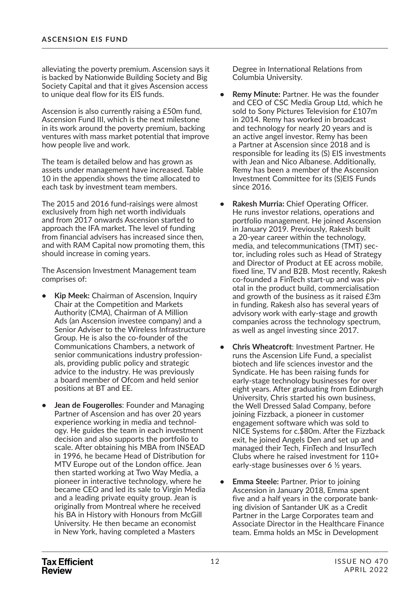alleviating the poverty premium. Ascension says it is backed by Nationwide Building Society and Big Society Capital and that it gives Ascension access to unique deal flow for its EIS funds.

Ascension is also currently raising a £50m fund, Ascension Fund III, which is the next milestone in its work around the poverty premium, backing ventures with mass market potential that improve how people live and work.

The team is detailed below and has grown as assets under management have increased. Table 10 in the appendix shows the time allocated to each task by investment team members.

The 2015 and 2016 fund-raisings were almost exclusively from high net worth individuals and from 2017 onwards Ascension started to approach the IFA market. The level of funding from financial advisers has increased since then, and with RAM Capital now promoting them, this should increase in coming years.

The Ascension Investment Management team comprises of:

- **Kip Meek:** Chairman of Ascension, Inquiry Chair at the Competition and Markets Authority (CMA), Chairman of A Million Ads (an Ascension investee company) and a Senior Adviser to the Wireless Infrastructure Group. He is also the co-founder of the Communications Chambers, a network of senior communications industry professionals, providing public policy and strategic advice to the industry. He was previously a board member of Ofcom and held senior positions at BT and EE.
- **Jean de Fougerolles**: Founder and Managing Partner of Ascension and has over 20 years experience working in media and technology. He guides the team in each investment decision and also supports the portfolio to scale. After obtaining his MBA from INSEAD in 1996, he became Head of Distribution for MTV Europe out of the London office. Jean then started working at Two Way Media, a pioneer in interactive technology, where he became CEO and led its sale to Virgin Media and a leading private equity group. Jean is originally from Montreal where he received his BA in History with Honours from McGill University. He then became an economist in New York, having completed a Masters

Degree in International Relations from Columbia University.

- **Remy Minute:** Partner. He was the founder and CEO of CSC Media Group Ltd, which he sold to Sony Pictures Television for £107m in 2014. Remy has worked in broadcast and technology for nearly 20 years and is an active angel investor. Remy has been a Partner at Ascension since 2018 and is responsible for leading its (S) EIS investments with Jean and Nico Albanese. Additionally, Remy has been a member of the Ascension Investment Committee for its (S)EIS Funds since 2016.
- **Rakesh Murria:** Chief Operating Officer. He runs investor relations, operations and portfolio management. He joined Ascension in January 2019. Previously, Rakesh built a 20-year career within the technology, media, and telecommunications (TMT) sector, including roles such as Head of Strategy and Director of Product at EE across mobile, fixed line, TV and B2B. Most recently, Rakesh co-founded a FinTech start-up and was pivotal in the product build, commercialisation and growth of the business as it raised £3m in funding. Rakesh also has several years of advisory work with early-stage and growth companies across the technology spectrum, as well as angel investing since 2017.
- **Chris Wheatcroft**: Investment Partner. He runs the Ascension Life Fund, a specialist biotech and life sciences investor and the Syndicate. He has been raising funds for early-stage technology businesses for over eight years. After graduating from Edinburgh University, Chris started his own business, the Well Dressed Salad Company, before joining Fizzback, a pioneer in customer engagement software which was sold to NICE Systems for c.\$80m. After the Fizzback exit, he joined Angels Den and set up and managed their Tech, FinTech and InsurTech Clubs where he raised investment for 110+ early-stage businesses over 6 ½ years.
- **Emma Steele:** Partner. Prior to joining Ascension in January 2018, Emma spent five and a half years in the corporate banking division of Santander UK as a Credit Partner in the Large Corporates team and Associate Director in the Healthcare Finance team. Emma holds an MSc in Development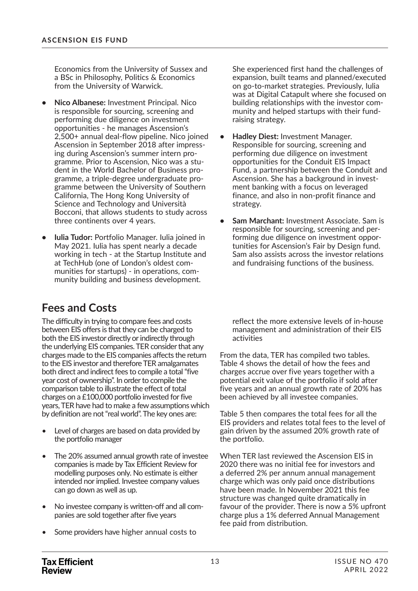Economics from the University of Sussex and a BSc in Philosophy, Politics & Economics from the University of Warwick.

- **Nico Albanese:** Investment Principal. Nico is responsible for sourcing, screening and performing due diligence on investment opportunities - he manages Ascension's 2,500+ annual deal-flow pipeline. Nico joined Ascension in September 2018 after impressing during Ascension's summer intern programme. Prior to Ascension, Nico was a student in the World Bachelor of Business programme, a triple-degree undergraduate programme between the University of Southern California, The Hong Kong University of Science and Technology and Università Bocconi, that allows students to study across three continents over 4 years.
- **Iulia Tudor:** Portfolio Manager. Iulia joined in May 2021. Iulia has spent nearly a decade working in tech - at the Startup Institute and at TechHub (one of London's oldest communities for startups) - in operations, community building and business development.

### **Fees and Costs**

The difficulty in trying to compare fees and costs between EIS offers is that they can be charged to both the EIS investor directly or indirectly through the underlying EIS companies. TER consider that any charges made to the EIS companies affects the return to the EIS investor and therefore TER amalgamates both direct and indirect fees to compile a total "five year cost of ownership". In order to compile the comparison table to illustrate the effect of total charges on a £100,000 portfolio invested for five years, TER have had to make a few assumptions which by definition are not "real world". The key ones are:

- Level of charges are based on data provided by the portfolio manager
- The 20% assumed annual growth rate of investee companies is made by Tax Efficient Review for modelling purposes only. No estimate is either intended nor implied. Investee company values can go down as well as up.
- No investee company is written-off and all companies are sold together after five years
- Some providers have higher annual costs to

She experienced first hand the challenges of expansion, built teams and planned/executed on go-to-market strategies. Previously, Iulia was at Digital Catapult where she focused on building relationships with the investor community and helped startups with their fundraising strategy.

- **Hadley Diest:** Investment Manager. Responsible for sourcing, screening and performing due diligence on investment opportunities for the Conduit EIS Impact Fund, a partnership between the Conduit and Ascension. She has a background in investment banking with a focus on leveraged finance, and also in non-profit finance and strategy.
- **Sam Marchant:** Investment Associate. Sam is responsible for sourcing, screening and performing due diligence on investment opportunities for Ascension's Fair by Design fund. Sam also assists across the investor relations and fundraising functions of the business.

reflect the more extensive levels of in-house management and administration of their EIS activities

From the data, TER has compiled two tables. Table 4 shows the detail of how the fees and charges accrue over five years together with a potential exit value of the portfolio if sold after five years and an annual growth rate of 20% has been achieved by all investee companies.

Table 5 then compares the total fees for all the EIS providers and relates total fees to the level of gain driven by the assumed 20% growth rate of the portfolio.

When TER last reviewed the Ascension EIS in 2020 there was no initial fee for investors and a deferred 2% per annum annual management charge which was only paid once distributions have been made. In November 2021 this fee structure was changed quite dramatically in favour of the provider. There is now a 5% upfront charge plus a 1% deferred Annual Management fee paid from distribution.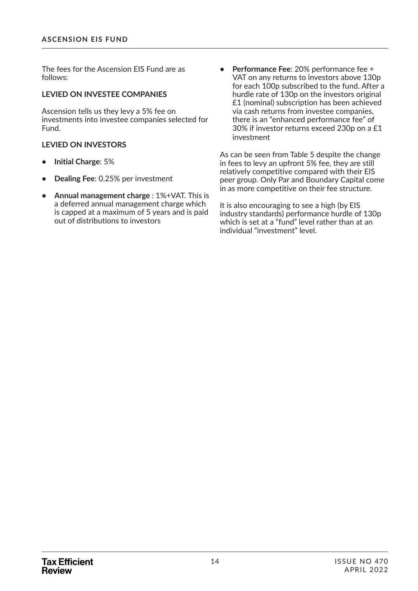The fees for the Ascension EIS Fund are as follows:

#### **LEVIED ON INVESTEE COMPANIES**

Ascension tells us they levy a 5% fee on investments into investee companies selected for Fund.

#### **LEVIED ON INVESTORS**

- **Initial Charge**: 5%
- **Dealing Fee**: 0.25% per investment
- **Annual management charge** : 1%+VAT. This is a deferred annual management charge which is capped at a maximum of 5 years and is paid out of distributions to investors
- **Performance Fee**: 20% performance fee + VAT on any returns to investors above 130p for each 100p subscribed to the fund. After a hurdle rate of 130p on the investors original £1 (nominal) subscription has been achieved via cash returns from investee companies, there is an "enhanced performance fee" of 30% if investor returns exceed 230p on a £1 investment

As can be seen from Table 5 despite the change in fees to levy an upfront 5% fee, they are still relatively competitive compared with their EIS peer group. Only Par and Boundary Capital come in as more competitive on their fee structure.

It is also encouraging to see a high (by EIS industry standards) performance hurdle of 130p which is set at a "fund" level rather than at an individual "investment" level.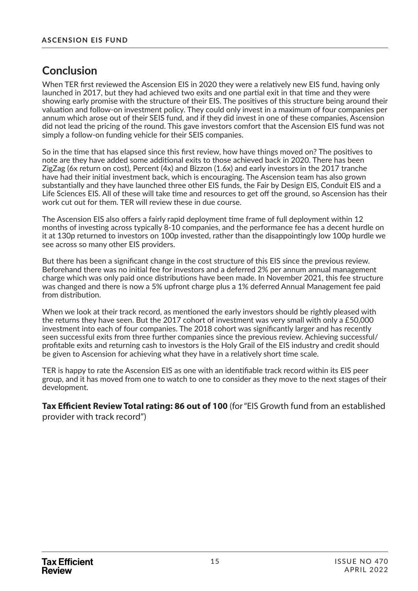### **Conclusion**

When TER first reviewed the Ascension EIS in 2020 they were a relatively new EIS fund, having only launched in 2017, but they had achieved two exits and one partial exit in that time and they were showing early promise with the structure of their EIS. The positives of this structure being around their valuaঞ on and follow-on investment policy. They could only invest in a maximum of four companies per annum which arose out of their SEIS fund, and if they did invest in one of these companies, Ascension did not lead the pricing of the round. This gave investors comfort that the Ascension EIS fund was not simply a follow-on funding vehicle for their SEIS companies.

So in the time that has elapsed since this first review, how have things moved on? The positives to note are they have added some additional exits to those achieved back in 2020. There has been ZigZag (6x return on cost), Percent (4x) and Bizzon (1.6x) and early investors in the 2017 tranche have had their initial investment back, which is encouraging. The Ascension team has also grown substantially and they have launched three other EIS funds, the Fair by Design EIS, Conduit EIS and a Life Sciences EIS. All of these will take time and resources to get off the ground, so Ascension has their work cut out for them. TER will review these in due course.

The Ascension EIS also offers a fairly rapid deployment time frame of full deployment within 12 months of investing across typically 8-10 companies, and the performance fee has a decent hurdle on it at 130p returned to investors on 100p invested, rather than the disappointingly low 100p hurdle we see across so many other EIS providers.

But there has been a significant change in the cost structure of this EIS since the previous review. Beforehand there was no initial fee for investors and a deferred 2% per annum annual management charge which was only paid once distributions have been made. In November 2021, this fee structure was changed and there is now a 5% upfront charge plus a 1% deferred Annual Management fee paid from distribution.

When we look at their track record, as mentioned the early investors should be rightly pleased with the returns they have seen. But the 2017 cohort of investment was very small with only a £50,000 investment into each of four companies. The 2018 cohort was significantly larger and has recently seen successful exits from three further companies since the previous review. Achieving successful/ profi table exits and returning cash to investors is the Holy Grail of the EIS industry and credit should be given to Ascension for achieving what they have in a relatively short time scale.

TER is happy to rate the Ascension EIS as one with an identifiable track record within its EIS peer group, and it has moved from one to watch to one to consider as they move to the next stages of their development.

**Tax Efficient Review Total rating: 86 out of 100** (for "EIS Growth fund from an established provider with track record")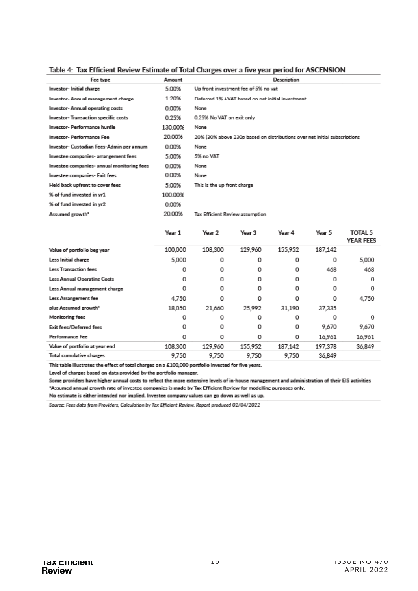| <u>ignic 4. Tay Frintein Deview Familiare of Jorgi Chargea aver a five Acgi herma for Wachabi Cit</u> |         |                             |                                                                           |             |        |                |
|-------------------------------------------------------------------------------------------------------|---------|-----------------------------|---------------------------------------------------------------------------|-------------|--------|----------------|
| Fee type                                                                                              | Amount  |                             |                                                                           | Description |        |                |
| Investor- Initial charge                                                                              | 5.00%   |                             | Up front investment fee of 5% no vat                                      |             |        |                |
| Investor-Annual management charge                                                                     | 1.20%   |                             | Deferred 1% +VAT hased on net initial investment                          |             |        |                |
| Investor- Annual operating costs                                                                      | 0.00%   | None                        |                                                                           |             |        |                |
| Investor- Transaction specific costs                                                                  | 0.25%   | 0.25% No VAT on exit only   |                                                                           |             |        |                |
| Investor- Performance hurdle                                                                          | 130,00% | None                        |                                                                           |             |        |                |
| Investor- Performance Fee                                                                             | 20.00%  |                             | 20% (30% above 230p based on distributions over net initial subscriptions |             |        |                |
| Investor- Custodian Fees-Admin per annum                                                              | 0.00%   | None                        |                                                                           |             |        |                |
| Investee companies- arrangement fees                                                                  | 5.00%   | 5% no VAT                   |                                                                           |             |        |                |
| Investee companies- annual monitoring fees                                                            | 0.00%   | None                        |                                                                           |             |        |                |
| Investee companies- Exit fees                                                                         | 0.00%   | None                        |                                                                           |             |        |                |
| Held back upfront to cover fees                                                                       | 5.00%   | This is the up front charge |                                                                           |             |        |                |
| % of fund invested in yr1                                                                             | 100.00% |                             |                                                                           |             |        |                |
| % of fund invested in yr2                                                                             | 0.00%   |                             |                                                                           |             |        |                |
| Assumed growth <sup>*</sup>                                                                           | 20.00%  |                             | Tax Efficient Review assumption                                           |             |        |                |
|                                                                                                       | Voor 1  | Voor ?                      | Voor 3                                                                    | Voor 4      | Voor 5 | <b>TOTAL 5</b> |

#### Table 4: Tay Efficient Deview Estimate of Total Charges over a five vear period for ASCENSION

|                                | теат д  | TUCH ∠  | 1 car J | itea⊪ <del>⊣</del> | ital J  | $191$ nla<br><b>YEAR FEES</b> |
|--------------------------------|---------|---------|---------|--------------------|---------|-------------------------------|
| Value of portfolio beg year    | 100,000 | 108,300 | 129,960 | 155.952            | 187.142 |                               |
| Less Initial charge            | 5,000   | 0       | 0       | 0                  | 0       | 5,000                         |
| Less Transaction fees          | 0       | 0       | 0       | 0                  | 468     | 468                           |
| Less Annual Operating Costs    | ٥       | 0       | ٥       | 0                  | 0       | 0                             |
| Less Annual management charge  | 0       | 0       | 0       | 0                  | 0       | 0                             |
| Less Arrangement fee           | 4,750   | 0       | ٥       | 0                  | 0       | 4,750                         |
| plus Assumed growth*           | 18.050  | 21,660  | 25,992  | 31.190             | 37,335  |                               |
| Monitoring fees                | o       | ο       | 0       | о                  | 0       | ο                             |
| Exit fees/Deferred fees        | 0       | 0       | 0       | 0                  | 9,670   | 9,670                         |
| Performance Fee                | 0       | 0       | 0       | 0                  | 16.961  | 16,961                        |
| Value of portfolio at year end | 108,300 | 129,960 | 155.952 | 187,142            | 197.378 | 36,849                        |
| Total cumulative charges       | 9.750   | 9.750   | 9.750   | 9.750              | 36.849  |                               |

This table illustrates the effect of total charges on a £100,000 portfolio invested for five years.

Level of charges based on data provided by the portfolio manager.

Some providers have higher annual costs to reflect the more extensive levels of in-house management and administration of their EIS activities "Assumed annual growth rate of investee companies is made by Tax Efficient Review for modelling purposes only.

No estimate is either intended nor implied. Investee company values can go down as well as up.

Source: Fees data from Providers, Calculation by Tax Efficient Review. Report produced 02/04/2022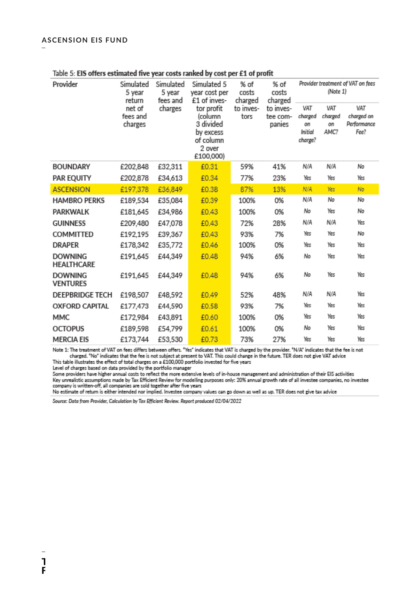| Provider                            | Simulated<br>5 year<br>return            | Simulated<br>5 year<br>fees and | Simulated 5<br>year cost per<br>£1 of inves-                                        | % of<br>costs<br>charged | % of<br>costs<br>charged        | Provider treatment of VAT on fees<br>(Note 1) |                              |                                          |  |
|-------------------------------------|------------------------------------------|---------------------------------|-------------------------------------------------------------------------------------|--------------------------|---------------------------------|-----------------------------------------------|------------------------------|------------------------------------------|--|
|                                     | net of<br>charges<br>fees and<br>charges |                                 | tor profit<br>(column<br>3 divided<br>by excess<br>of column<br>2 over<br>£100,000) | to inves-<br>tors        | to inves-<br>tee com-<br>panies | VAT<br>charged<br>on<br>Initial<br>charge?    | VAT<br>charged<br>on<br>AMC? | VAT<br>charged on<br>Performance<br>Fee? |  |
| <b>BOUNDARY</b>                     | £202,848                                 | £32,311                         | £0.31                                                                               | 59%                      | 41%                             | N/A                                           | N/A                          | No                                       |  |
| PAR EQUITY                          | £202,878                                 | £34,613                         | £0.34                                                                               | 77%                      | 23%                             | Yes                                           | Yes                          | Yes                                      |  |
| <b>ASCENSION</b>                    | £197,378                                 | £36,849                         | £0.38                                                                               | 87%                      | 13%                             | N/A                                           | Yes                          | No                                       |  |
| <b>HAMBRO PERKS</b>                 | £189,534                                 | £35,084                         | £0.39                                                                               | 100%                     | 0%                              | N/A                                           | No                           | No                                       |  |
| PARKWALK                            | £181,645                                 | £34,986                         | £0.43                                                                               | 100%                     | 0%                              | No                                            | Yes                          | No                                       |  |
| <b>GUINNESS</b>                     | £209,480                                 | £47,078                         | £0.43                                                                               | 72%                      | 28%                             | N/A                                           | N/A                          | Yes                                      |  |
| COMMITTED                           | £192,195                                 | £39,367                         | £0.43                                                                               | 93%                      | 7%                              | Yes                                           | Yes                          | No                                       |  |
| <b>DRAPER</b>                       | £178,342                                 | £35,772                         | £0.46                                                                               | 100%                     | 0%                              | Yes                                           | Yes                          | Yes                                      |  |
| <b>DOWNING</b><br><b>HEALTHCARE</b> | £191,645                                 | £44,349                         | £0.48                                                                               | 94%                      | 6%                              | No                                            | Yes                          | Yes                                      |  |
| <b>DOWNING</b><br><b>VENTURES</b>   | £191,645                                 | £44,349                         | £0.48                                                                               | 94%                      | 6%                              | No                                            | Yes                          | Yes                                      |  |
| <b>DEEPBRIDGE TECH</b>              | £198,507                                 | £48,592                         | £0.49                                                                               | 52%                      | 48%                             | N/A                                           | N/A                          | Yes                                      |  |
| <b>OXFORD CAPITAL</b>               | £177,473                                 | £44,590                         | £0.58                                                                               | 93%                      | 7%                              | Yes                                           | Yes                          | Yes                                      |  |
| MMC                                 | £172,984                                 | £43,891                         | £0.60                                                                               | 100%                     | 0%                              | Yes                                           | Yes                          | Yes                                      |  |
| <b>OCTOPUS</b>                      | £189,598                                 | £54,799                         | £0.61                                                                               | 100%                     | 0%                              | No                                            | Yes                          | Yes                                      |  |
| <b>MERCIA EIS</b>                   | £173744                                  | £53.530                         | £0.73                                                                               | 73%                      | 27%                             | Yes                                           | Yes                          | Yes                                      |  |

#### Table 5: EIS offers estimated five year costs ranked by cost per £1 of profit

Note 1: The treatment of VAT on fees differs between offers. "Yes" indicates that VAT is charged by the provider. "N/A" indicates that the fee is not charged. "No" indicates that the fee is not subject at present to VAT. T This table illustrates the effect of total charges on a £100,000 portfolio invested for five years

Level of charges based on data provided by the portfolio manager

Some providers have higher annual costs to reflect the more extensive levels of in-house management and administration of their EIS activities Key unrealistic assumptions made by Tax Efficient Review for modelling purposes only: 20% annual growth rate of all investee companies, no investee company is written-off, all companies are sold together after five years

No estimate of return is either intended nor implied. Investee company values can go down as well as up. TER does not give tax advice

Source: Data from Provider, Calculation by Tax Efficient Review. Report produced 02/04/2022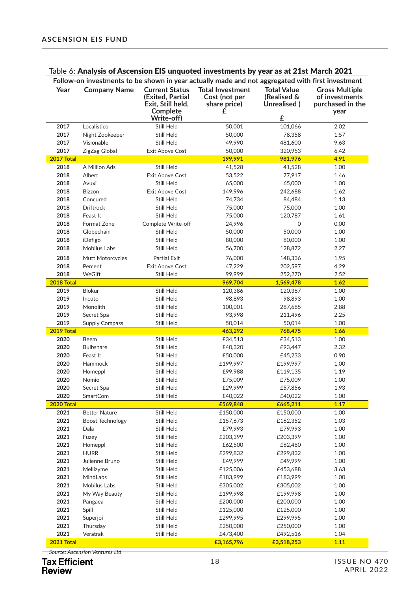#### Table 6: Analysis of Ascension EIS unquoted investments by year as at 21st March 2021

| Follow-on investments to be shown in year actually made and not aggregated with first investment |                               |                                                                                          |                                                               |                                                                  |              |  |  |  |  |
|--------------------------------------------------------------------------------------------------|-------------------------------|------------------------------------------------------------------------------------------|---------------------------------------------------------------|------------------------------------------------------------------|--------------|--|--|--|--|
| Year                                                                                             | <b>Company Name</b>           | <b>Current Status</b><br>(Exited, Partial<br>Exit, Still held,<br>Complete<br>Write-off) | <b>Total Investment</b><br>Cost (not per<br>share price)<br>£ | <b>Total Value</b><br><b>(Realised &amp;</b><br>Unrealised)<br>£ |              |  |  |  |  |
| 2017                                                                                             | Localistico                   | Still Held                                                                               | 50,001                                                        | 101,066                                                          | 2.02         |  |  |  |  |
| 2017                                                                                             | Night Zookeeper               | Still Held                                                                               | 50,000                                                        | 78,358                                                           | 1.57         |  |  |  |  |
| 2017                                                                                             | Visionable                    | Still Held                                                                               | 49,990                                                        | 481,600                                                          | 9.63         |  |  |  |  |
| 2017                                                                                             | ZigZag Global                 | <b>Exit Above Cost</b>                                                                   | 50,000                                                        | 320,953                                                          | 6.42         |  |  |  |  |
| 2017 Total                                                                                       |                               |                                                                                          | 199,991                                                       | 981,976                                                          | 4.91         |  |  |  |  |
| 2018                                                                                             | A Million Ads                 | Still Held                                                                               | 41,528                                                        | 41,528                                                           | 1.00         |  |  |  |  |
| 2018                                                                                             | Albert                        | Exit Above Cost                                                                          | 53,522                                                        | 77,917                                                           | 1.46         |  |  |  |  |
| 2018                                                                                             | Avuxi                         | Still Held                                                                               | 65,000                                                        | 65,000                                                           | 1.00         |  |  |  |  |
| 2018                                                                                             | <b>Bizzon</b>                 | <b>Exit Above Cost</b>                                                                   | 149,996                                                       | 242,688                                                          | 1.62         |  |  |  |  |
| 2018                                                                                             | Concured                      | Still Held                                                                               | 74,734                                                        | 84,484                                                           | 1.13         |  |  |  |  |
| 2018                                                                                             | <b>Driftrock</b>              | Still Held                                                                               | 75,000                                                        | 75,000                                                           | 1.00         |  |  |  |  |
| 2018                                                                                             | Feast It                      | Still Held                                                                               | 75,000                                                        | 120,787                                                          | 1.61         |  |  |  |  |
| 2018                                                                                             | Format Zone                   | Complete Write-off                                                                       | 24,996                                                        | 0                                                                | 0.00         |  |  |  |  |
| 2018                                                                                             | Globechain                    | Still Held                                                                               | 50,000                                                        | 50,000                                                           | 1.00         |  |  |  |  |
| 2018                                                                                             | iDefigo                       | Still Held                                                                               | 80,000                                                        | 80,000                                                           | 1.00         |  |  |  |  |
| 2018                                                                                             | <b>Mobilus Labs</b>           | Still Held                                                                               | 56,700                                                        | 128,872                                                          | 2.27         |  |  |  |  |
| 2018                                                                                             | Mutt Motorcycles              | Partial Exit                                                                             | 76,000                                                        | 148,336                                                          | 1.95         |  |  |  |  |
| 2018                                                                                             | Percent                       | <b>Exit Above Cost</b>                                                                   | 47,229                                                        | 202,597                                                          | 4.29         |  |  |  |  |
| 2018                                                                                             | WeGift                        | Still Held                                                                               | 99.999                                                        | 252,270                                                          | 2.52         |  |  |  |  |
| 2018 Total                                                                                       |                               |                                                                                          | 969,704                                                       | 1,569,478                                                        | 1.62         |  |  |  |  |
| 2019                                                                                             | Blokur                        | Still Held                                                                               | 120,386                                                       | 120,387                                                          | 1.00         |  |  |  |  |
| 2019                                                                                             | Incuto                        | Still Held                                                                               | 98,893                                                        | 98,893                                                           | 1.00         |  |  |  |  |
| 2019                                                                                             | Monolith                      | Still Held                                                                               | 100,001                                                       | 287,685                                                          | 2.88         |  |  |  |  |
| 2019                                                                                             | Secret Spa                    | Still Held                                                                               | 93,998                                                        | 211,496                                                          | 2.25         |  |  |  |  |
| 2019                                                                                             | <b>Supply Compass</b>         | Still Held                                                                               | 50,014                                                        | 50,014                                                           | 1.00         |  |  |  |  |
| 2019 Total                                                                                       |                               |                                                                                          | 463,292                                                       | 768,475                                                          | 1.66         |  |  |  |  |
| 2020                                                                                             | Beem                          | Still Held                                                                               | £34,513                                                       | £34,513                                                          | 1.00         |  |  |  |  |
| 2020                                                                                             | <b>Bulbshare</b>              | Still Held                                                                               | £40,320                                                       | £93,447                                                          | 2.32         |  |  |  |  |
| 2020                                                                                             | Feast It                      | Still Held                                                                               | £50,000                                                       | £45,233                                                          | 0.90         |  |  |  |  |
| 2020                                                                                             | Hammock                       | Still Held                                                                               | £199,997                                                      | £199,997                                                         | 1.00         |  |  |  |  |
| 2020                                                                                             | Homeppl                       | Still Held                                                                               | £99,988                                                       | £119,135                                                         | 1.19         |  |  |  |  |
| 2020                                                                                             | Nomio                         | Still Held                                                                               | £75,009                                                       | £75,009                                                          | 1.00         |  |  |  |  |
| 2020                                                                                             | Secret Spa                    | Still Held                                                                               | £29,999                                                       | £57,856                                                          | 1.93         |  |  |  |  |
| 2020                                                                                             | SmartCom                      | Still Held                                                                               | £40,022                                                       | £40,022                                                          | 1.00         |  |  |  |  |
| 2020 Total                                                                                       |                               |                                                                                          | £569,848                                                      | £665,211                                                         | 1.17         |  |  |  |  |
| 2021                                                                                             | <b>Better Nature</b>          | Still Held                                                                               | £150,000                                                      | £150,000                                                         | 1.00         |  |  |  |  |
| 2021                                                                                             | Boost Technology              | Still Held                                                                               | £157,673                                                      | £162,352                                                         | 1.03         |  |  |  |  |
| 2021                                                                                             | Dala                          | Still Held                                                                               | £79,993                                                       | £79,993                                                          | 1.00         |  |  |  |  |
| 2021<br>2021                                                                                     | Fuzey<br>Homeppl              | Still Held                                                                               | £203,399                                                      | £203,399                                                         | 1.00<br>1.00 |  |  |  |  |
|                                                                                                  |                               | Still Held                                                                               | £62,500                                                       | £62,480                                                          |              |  |  |  |  |
| 2021<br>2021                                                                                     | <b>HURR</b><br>Julienne Bruno | Still Held                                                                               | £299,832<br>£49,999                                           | £299,832<br>£49,999                                              | 1.00<br>1.00 |  |  |  |  |
| 2021                                                                                             | Mellizyme                     | Still Held<br>Still Held                                                                 | £125,006                                                      | £453,688                                                         | 3.63         |  |  |  |  |
| 2021                                                                                             | MindLabs                      | Still Held                                                                               | £183,999                                                      | £183,999                                                         | 1.00         |  |  |  |  |
| 2021                                                                                             | Mobilus Labs                  | Still Held                                                                               | £305,002                                                      | £305,002                                                         | 1.00         |  |  |  |  |
| 2021                                                                                             | My Way Beauty                 | Still Held                                                                               | £199,998                                                      | £199,998                                                         | 1.00         |  |  |  |  |
| 2021                                                                                             | Pangaea                       | Still Held                                                                               | £200,000                                                      | £200,000                                                         | 1.00         |  |  |  |  |
| 2021                                                                                             | Spill                         | Still Held                                                                               | £125,000                                                      | £125,000                                                         | 1.00         |  |  |  |  |
| 2021                                                                                             | Superjoi                      | Still Held                                                                               | £299,995                                                      | £299,995                                                         | 1.00         |  |  |  |  |
| 2021                                                                                             | Thursday                      | Still Held                                                                               | £250,000                                                      | £250,000                                                         | 1.00         |  |  |  |  |
| 2021                                                                                             | Veratrak                      | Still Held                                                                               | £473,400                                                      | £492,516                                                         | 1.04         |  |  |  |  |
| 2021 Total                                                                                       |                               |                                                                                          | £3,165,796                                                    | £3,518,253                                                       | 1.11         |  |  |  |  |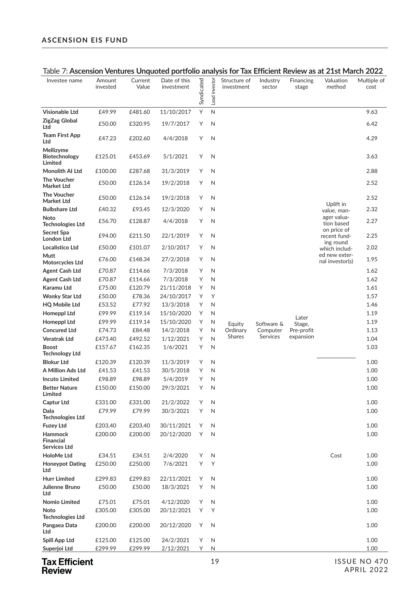| Investee name                               | Amount<br>invested | Current<br>Value  | Date of this<br>investment | Syndicated | Lead investor | Structure of<br>investment | Industry<br>sector   | Financing<br>stage      | Valuation<br>method                      | Multiple of<br>cost |
|---------------------------------------------|--------------------|-------------------|----------------------------|------------|---------------|----------------------------|----------------------|-------------------------|------------------------------------------|---------------------|
| <b>Visionable Ltd</b>                       | £49.99             | £481.60           | 11/10/2017                 | Υ          | N             |                            |                      |                         |                                          | 9.63                |
| ZigZag Global<br>Ltd                        | £50.00             | £320.95           | 19/7/2017                  | Y          | N             |                            |                      |                         |                                          | 6.42                |
| Team First App<br>Ltd                       | £47.23             | £202.60           | 4/4/2018                   | Υ          | $\mathsf{N}$  |                            |                      |                         |                                          | 4.29                |
| Mellizyme<br>Biotechnology<br>Limited       | £125.01            | £453.69           | 5/1/2021                   | Y          | N             |                            |                      |                         |                                          | 3.63                |
| Monolith AI Ltd                             | £100.00            | £287.68           | 31/3/2019                  | Υ          | N             |                            |                      |                         |                                          | 2.88                |
| <b>The Voucher</b><br>Market Ltd            | £50.00             | £126.14           | 19/2/2018                  | Υ          | N             |                            |                      |                         |                                          | 2.52                |
| <b>The Voucher</b><br>Market Ltd            | £50.00             | £126.14           | 19/2/2018                  | Υ          | N             |                            |                      |                         | Uplift in                                | 2.52                |
| <b>Bulbshare Ltd</b>                        | £40.32             | £93.45            | 12/3/2020                  | Y          | N             |                            |                      |                         | value, man-                              | 2.32                |
| Noto<br><b>Technologies Ltd</b>             | £56.70             | £128.87           | 4/4/2018                   | Y          | N             |                            |                      |                         | ager valua-<br>tion based                | 2.27                |
| Secret Spa<br><b>London Ltd</b>             | £94.00             | £211.50           | 22/1/2019                  | Υ          | $\mathsf N$   |                            |                      |                         | on price of<br>recent fund-<br>ing round | 2.25                |
| Localistico Ltd                             | £50.00             | £101.07           | 2/10/2017                  | Υ          | N             |                            |                      |                         | which includ-                            | 2.02                |
| Mutt<br>Motorcycles Ltd                     | £76.00             | £148.34           | 27/2/2018                  | Υ          | N             |                            |                      |                         | ed new exter-<br>nal investor(s)         | 1.95                |
| <b>Agent Cash Ltd</b>                       | £70.87             | £114.66           | 7/3/2018                   | Y          | N             |                            |                      |                         |                                          | 1.62                |
| Agent Cash Ltd                              | £70.87             | £114.66           | 7/3/2018                   | Υ          | N             |                            |                      |                         |                                          | 1.62                |
| Karamu Ltd                                  | £75.00             | £120.79           | 21/11/2018                 | Υ          | N             |                            |                      |                         |                                          | 1.61                |
| Wonky Star Ltd                              | £50.00             | £78.36            | 24/10/2017                 | Y          | Υ             |                            |                      |                         |                                          | 1.57                |
| HQ Mobile Ltd                               | £53.52             | £77.92            | 13/3/2018                  | Υ          | $\mathsf N$   |                            |                      |                         |                                          | 1.46                |
| <b>Homeppl Ltd</b>                          | £99.99             | £119.14           | 15/10/2020                 | Υ          | N             |                            |                      | Later                   |                                          | 1.19                |
| <b>Homeppl Ltd</b><br><b>Concured Ltd</b>   | £99.99<br>£74.73   | £119.14<br>£84.48 | 15/10/2020<br>14/2/2018    | Υ<br>Υ     | N<br>N        | Equity<br>Ordinary         | Software &           | Stage,                  |                                          | 1.19<br>1.13        |
| Veratrak Ltd                                | £473.40            | £492.52           | 1/12/2021                  | Υ          | N             | Shares                     | Computer<br>Services | Pre-profit<br>expansion |                                          | 1.04                |
| <b>Boost</b><br><b>Technology Ltd</b>       | £157.67            | £162.35           | 1/6/2021                   | Υ          | N             |                            |                      |                         |                                          | 1.03                |
| <b>Blokur Ltd</b>                           | £120.39            | £120.39           | 11/3/2019                  | Υ          | N             |                            |                      |                         |                                          | 1.00                |
| A Million Ads Ltd                           | £41.53             | £41.53            | 30/5/2018                  | Υ          | N             |                            |                      |                         |                                          | 1.00                |
| <b>Incuto Limited</b>                       | £98.89             | £98.89            | 5/4/2019                   | Υ          | $\mathsf N$   |                            |                      |                         |                                          | 1.00                |
| <b>Better Nature</b><br>Limited             | £150.00            | £150.00           | 29/3/2021                  | Υ          | Ν             |                            |                      |                         |                                          | 1.00                |
| <b>Captur Ltd</b>                           | £331.00            | £331.00           | 21/2/2022                  | Y          | N             |                            |                      |                         |                                          | 1.00                |
| Dala<br><b>Technologies Ltd</b>             | £79.99             | £79.99            | 30/3/2021                  | Y          | N             |                            |                      |                         |                                          | 1.00                |
| <b>Fuzey Ltd</b>                            | £203.40            | £203.40           | 30/11/2021                 | Y          | N             |                            |                      |                         |                                          | 1.00                |
| Hammock<br><b>Financial</b><br>Services Ltd | £200.00            | £200.00           | 20/12/2020                 | Y          | N             |                            |                      |                         |                                          | 1.00                |
| HoloMe Ltd                                  | £34.51             | £34.51            | 2/4/2020                   | Y          | N             |                            |                      |                         | Cost                                     | 1.00                |
| <b>Honeypot Dating</b><br>Ltd               | £250.00            | £250.00           | 7/6/2021                   | Y          | Υ             |                            |                      |                         |                                          | 1.00                |
| <b>Hurr Limited</b>                         | £299.83            | £299.83           | 22/11/2021                 | Υ          | N             |                            |                      |                         |                                          | 1.00                |
| Julienne Bruno<br>Ltd                       | £50.00             | £50.00            | 18/3/2021                  | Y          | N             |                            |                      |                         |                                          | 1.00                |
| Nomio Limited                               | £75.01             | £75.01            | 4/12/2020                  | Y          | N             |                            |                      |                         |                                          | 1.00                |
| Noto<br><b>Technologies Ltd</b>             | £305.00            | £305.00           | 20/12/2021                 | Y          | Υ             |                            |                      |                         |                                          | 1.00                |
| Pangaea Data<br>Ltd                         | £200.00            | £200.00           | 20/12/2020                 | Υ          | N             |                            |                      |                         |                                          | 1.00                |
| Spill App Ltd                               | £125.00            | £125.00           | 24/2/2021                  | Υ          | N             |                            |                      |                         |                                          | 1.00                |
| Superjoi Ltd                                | £299.99            | £299.99           | 2/12/2021                  | Y.         | N             |                            |                      |                         |                                          | 1.00                |
|                                             |                    |                   |                            |            |               |                            |                      |                         |                                          |                     |

#### Table 7: **Ascension Ventures Unquoted portfolio analysis for Tax Efficient Review as at 21st March 2022**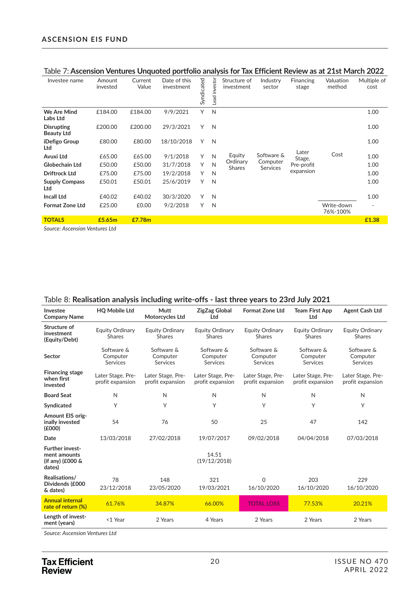| Investee name                          | Amount<br>invested | Current<br>Value | Date of this<br>investment | Syndicated | Lead investor | Structure of<br>investment | Industry<br>sector          | Financing<br>stage | Valuation<br>method    | Multiple of<br>cost |
|----------------------------------------|--------------------|------------------|----------------------------|------------|---------------|----------------------------|-----------------------------|--------------------|------------------------|---------------------|
| We Are Mind<br>Labs Ltd                | £184.00            | £184.00          | 9/9/2021                   | Y          | N             |                            |                             |                    |                        | 1.00                |
| <b>Disrupting</b><br><b>Beauty Ltd</b> | £200.00            | £200.00          | 29/3/2021                  | Y          | $\mathbb N$   |                            |                             |                    |                        | 1.00                |
| iDefigo Group<br>Ltd                   | £80.00             | £80.00           | 18/10/2018                 | Y          | N             |                            |                             |                    |                        | 1.00                |
| <b>Avuxi Ltd</b>                       | £65.00             | £65.00           | 9/1/2018                   | Υ          | N             | Equity                     | Software &                  | Later<br>Stage,    | Cost                   | 1.00                |
| <b>Globechain Ltd</b>                  | £50.00             | £50.00           | 31/7/2018                  | Y          | N             | Ordinary<br><b>Shares</b>  | Computer<br><b>Services</b> | Pre-profit         |                        | 1.00                |
| <b>Driftrock Ltd</b>                   | £75.00             | £75.00           | 19/2/2018                  | Y          | $\mathbb N$   |                            |                             | expansion          |                        | 1.00                |
| <b>Supply Compass</b><br>Ltd           | £50.01             | £50.01           | 25/6/2019                  | Y          | N             |                            |                             |                    |                        | 1.00                |
| <b>Incall Ltd</b>                      | £40.02             | £40.02           | 30/3/2020                  | Υ          | N             |                            |                             |                    |                        | 1.00                |
| <b>Format Zone Ltd</b>                 | £25.00             | £0.00            | 9/2/2018                   | Y          | N             |                            |                             |                    | Write-down<br>76%-100% |                     |
| <b>TOTALS</b>                          | £5.65m             | £7.78m           |                            |            |               |                            |                             |                    |                        | £1.38               |

#### Table 7: **Ascension Ventures Unquoted portfolio analysis for Tax Efficient Review as at 21st March 2022**

*Source: Ascension Ventures Ltd*

| Table 8: Realisation analysis including write-offs - last three years to 23rd July 2021 |  |
|-----------------------------------------------------------------------------------------|--|
|-----------------------------------------------------------------------------------------|--|

| Investee<br><b>Company Name</b>                                      | <b>HQ Mobile Ltd</b>                      | <b>Mutt</b><br>Motorcycles Ltd            | <b>ZigZag Global</b><br>Ltd               | <b>Format Zone Ltd</b>                    | <b>Team First App</b><br>Ltd              | <b>Agent Cash Ltd</b>                     |
|----------------------------------------------------------------------|-------------------------------------------|-------------------------------------------|-------------------------------------------|-------------------------------------------|-------------------------------------------|-------------------------------------------|
| Structure of<br>investment<br>(Equity/Debt)                          | <b>Equity Ordinary</b><br><b>Shares</b>   | <b>Equity Ordinary</b><br><b>Shares</b>   | Equity Ordinary<br><b>Shares</b>          | <b>Equity Ordinary</b><br>Shares          | Equity Ordinary<br><b>Shares</b>          | <b>Equity Ordinary</b><br><b>Shares</b>   |
| Sector                                                               | Software &<br>Computer<br><b>Services</b> | Software &<br>Computer<br><b>Services</b> | Software &<br>Computer<br><b>Services</b> | Software &<br>Computer<br><b>Services</b> | Software &<br>Computer<br><b>Services</b> | Software &<br>Computer<br><b>Services</b> |
| <b>Financing stage</b><br>when first<br>invested                     | Later Stage, Pre-<br>profit expansion     | Later Stage, Pre-<br>profit expansion     | Later Stage, Pre-<br>profit expansion     | Later Stage, Pre-<br>profit expansion     | Later Stage, Pre-<br>profit expansion     | Later Stage, Pre-<br>profit expansion     |
| <b>Board Seat</b>                                                    | N                                         | N                                         | N                                         | N                                         | N                                         | N                                         |
| Syndicated                                                           | Υ                                         | Υ                                         | Υ                                         | Υ                                         | Υ                                         | Υ                                         |
| <b>Amount EIS orig-</b><br>inally invested<br>(E000)                 | 54                                        | 76                                        | 50                                        | 25                                        | 47                                        | 142                                       |
| Date                                                                 | 13/03/2018                                | 27/02/2018                                | 19/07/2017                                | 09/02/2018                                | 04/04/2018                                | 07/03/2018                                |
| <b>Further invest-</b><br>ment amounts<br>(if any) (£000 &<br>dates) |                                           |                                           | 14.51<br>(19/12/2018)                     |                                           |                                           |                                           |
| Realisations/<br>Dividends (£000<br>& dates)                         | 78<br>23/12/2018                          | 148<br>23/05/2020                         | 321<br>19/03/2021                         | 0<br>16/10/2020                           | 203<br>16/10/2020                         | 229<br>16/10/2020                         |
| <b>Annual internal</b><br>rate of return (%)                         | 61.76%                                    | 34.87%                                    | 66.00%                                    | <b>TOTAL LOSS</b>                         | 77.53%                                    | 20.21%                                    |
| Length of invest-<br>ment (years)                                    | <1 Year                                   | 2 Years                                   | 4 Years                                   | 2 Years                                   | 2 Years                                   | 2 Years                                   |

*Source: Ascension Ventures Ltd*